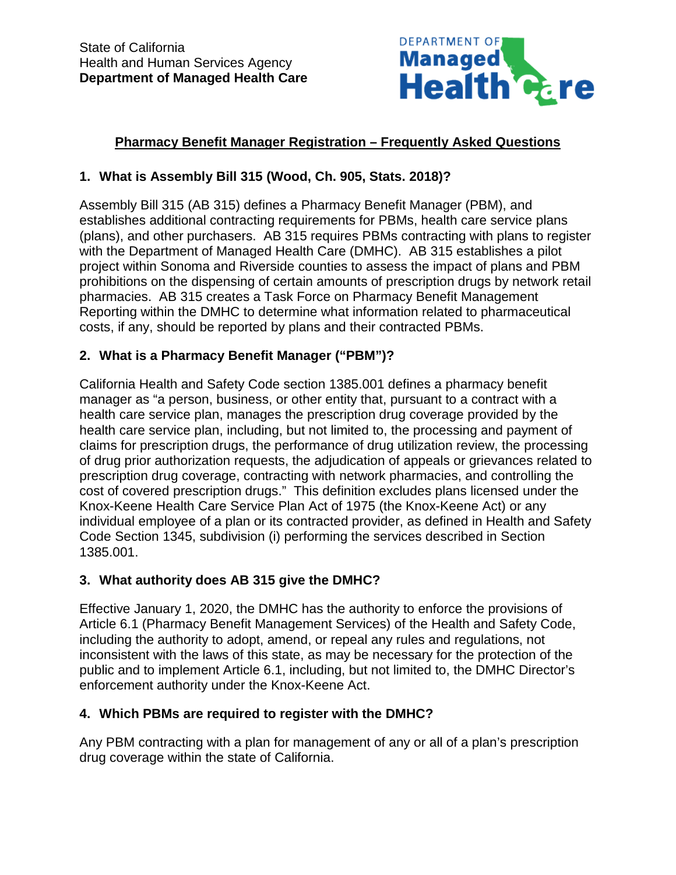

# **Pharmacy Benefit Manager Registration – Frequently Asked Questions**

### **1. What is Assembly Bill 315 (Wood, Ch. 905, Stats. 2018)?**

Assembly Bill 315 (AB 315) defines a Pharmacy Benefit Manager (PBM), and establishes additional contracting requirements for PBMs, health care service plans (plans), and other purchasers. AB 315 requires PBMs contracting with plans to register with the Department of Managed Health Care (DMHC). AB 315 establishes a pilot project within Sonoma and Riverside counties to assess the impact of plans and PBM prohibitions on the dispensing of certain amounts of prescription drugs by network retail pharmacies. AB 315 creates a Task Force on Pharmacy Benefit Management Reporting within the DMHC to determine what information related to pharmaceutical costs, if any, should be reported by plans and their contracted PBMs.

### **2. What is a Pharmacy Benefit Manager ("PBM")?**

California Health and Safety Code section 1385.001 defines a pharmacy benefit manager as "a person, business, or other entity that, pursuant to a contract with a health care service plan, manages the prescription drug coverage provided by the health care service plan, including, but not limited to, the processing and payment of claims for prescription drugs, the performance of drug utilization review, the processing of drug prior authorization requests, the adjudication of appeals or grievances related to prescription drug coverage, contracting with network pharmacies, and controlling the cost of covered prescription drugs." This definition excludes plans licensed under the Knox-Keene Health Care Service Plan Act of 1975 (the Knox-Keene Act) or any individual employee of a plan or its contracted provider, as defined in Health and Safety Code Section 1345, subdivision (i) performing the services described in Section 1385.001.

### **3. What authority does AB 315 give the DMHC?**

Effective January 1, 2020, the DMHC has the authority to enforce the provisions of Article 6.1 (Pharmacy Benefit Management Services) of the Health and Safety Code, including the authority to adopt, amend, or repeal any rules and regulations, not inconsistent with the laws of this state, as may be necessary for the protection of the public and to implement Article 6.1, including, but not limited to, the DMHC Director's enforcement authority under the Knox-Keene Act.

### **4. Which PBMs are required to register with the DMHC?**

Any PBM contracting with a plan for management of any or all of a plan's prescription drug coverage within the state of California.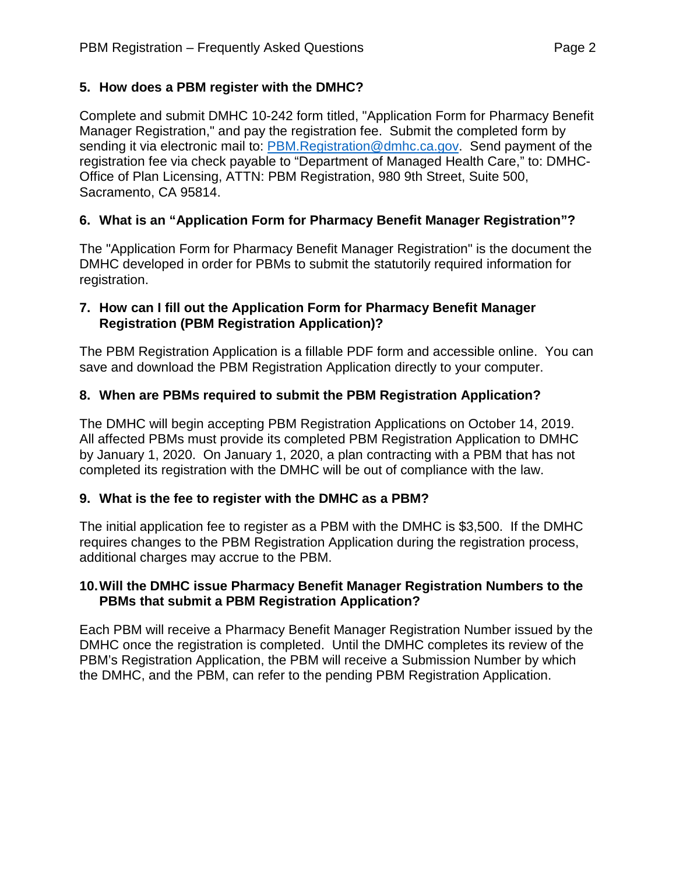### **5. How does a PBM register with the DMHC?**

Complete and submit DMHC 10-242 form titled, "Application Form for Pharmacy Benefit Manager Registration," and pay the registration fee. Submit the completed form by sending it via electronic mail to: [PBM.Registration@dmhc.ca.gov.](mailto:PBM.Registration@dmhc.ca.gov) Send payment of the registration fee via check payable to "Department of Managed Health Care," to: DMHC-Office of Plan Licensing, ATTN: PBM Registration, 980 9th Street, Suite 500, Sacramento, CA 95814.

# **6. What is an "Application Form for Pharmacy Benefit Manager Registration"?**

The "Application Form for Pharmacy Benefit Manager Registration" is the document the DMHC developed in order for PBMs to submit the statutorily required information for registration.

### **7. How can I fill out the Application Form for Pharmacy Benefit Manager Registration (PBM Registration Application)?**

The PBM Registration Application is a fillable PDF form and accessible online. You can save and download the PBM Registration Application directly to your computer.

# **8. When are PBMs required to submit the PBM Registration Application?**

The DMHC will begin accepting PBM Registration Applications on October 14, 2019. All affected PBMs must provide its completed PBM Registration Application to DMHC by January 1, 2020. On January 1, 2020, a plan contracting with a PBM that has not completed its registration with the DMHC will be out of compliance with the law.

### **9. What is the fee to register with the DMHC as a PBM?**

The initial application fee to register as a PBM with the DMHC is \$3,500. If the DMHC requires changes to the PBM Registration Application during the registration process, additional charges may accrue to the PBM.

### **10.Will the DMHC issue Pharmacy Benefit Manager Registration Numbers to the PBMs that submit a PBM Registration Application?**

Each PBM will receive a Pharmacy Benefit Manager Registration Number issued by the DMHC once the registration is completed. Until the DMHC completes its review of the PBM's Registration Application, the PBM will receive a Submission Number by which the DMHC, and the PBM, can refer to the pending PBM Registration Application.